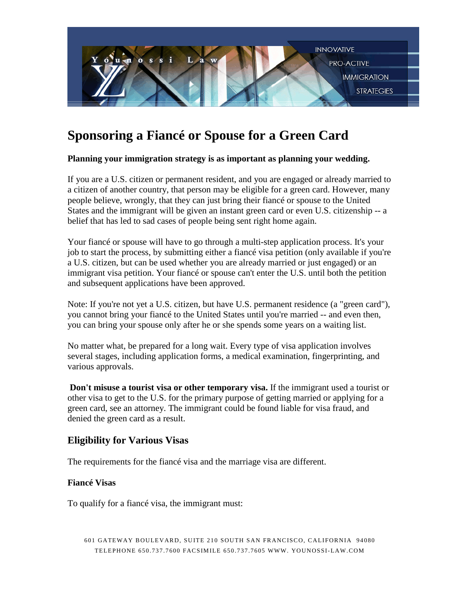

# **Sponsoring a Fiancé or Spouse for a Green Card**

#### **Planning your immigration strategy is as important as planning your wedding.**

If you are a U.S. citizen or permanent resident, and you are engaged or already married to a citizen of another country, that person may be eligible for a green card. However, many people believe, wrongly, that they can just bring their fiancé or spouse to the United States and the immigrant will be given an instant green card or even U.S. citizenship -- a belief that has led to sad cases of people being sent right home again.

Your fiancé or spouse will have to go through a multi-step application process. It's your job to start the process, by submitting either a fiancé visa petition (only available if you're a U.S. citizen, but can be used whether you are already married or just engaged) or an immigrant visa petition. Your fiancé or spouse can't enter the U.S. until both the petition and subsequent applications have been approved.

Note: If you're not yet a U.S. citizen, but have U.S. permanent residence (a "green card"), you cannot bring your fiancé to the United States until you're married -- and even then, you can bring your spouse only after he or she spends some years on a waiting list.

No matter what, be prepared for a long wait. Every type of visa application involves several stages, including application forms, a medical examination, fingerprinting, and various approvals.

**Don't misuse a tourist visa or other temporary visa.** If the immigrant used a tourist or other visa to get to the U.S. for the primary purpose of getting married or applying for a green card, see an attorney. The immigrant could be found liable for visa fraud, and denied the green card as a result.

## **Eligibility for Various Visas**

The requirements for the fiancé visa and the marriage visa are different.

#### **Fiancé Visas**

To qualify for a fiancé visa, the immigrant must: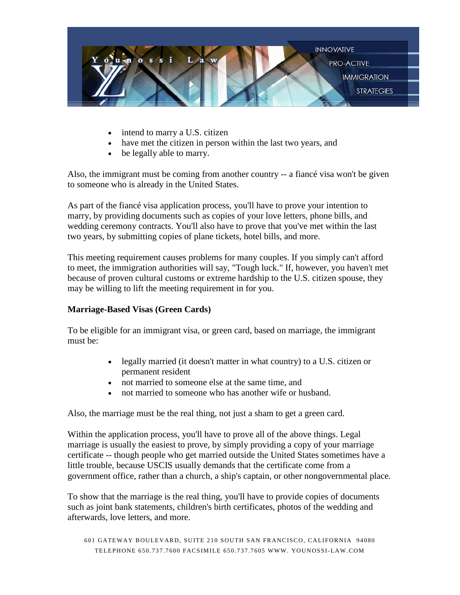

- intend to marry a U.S. citizen
- have met the citizen in person within the last two years, and
- be legally able to marry.

Also, the immigrant must be coming from another country -- a fiancé visa won't be given to someone who is already in the United States.

As part of the fiancé visa application process, you'll have to prove your intention to marry, by providing documents such as copies of your love letters, phone bills, and wedding ceremony contracts. You'll also have to prove that you've met within the last two years, by submitting copies of plane tickets, hotel bills, and more.

This meeting requirement causes problems for many couples. If you simply can't afford to meet, the immigration authorities will say, "Tough luck." If, however, you haven't met because of proven cultural customs or extreme hardship to the U.S. citizen spouse, they may be willing to lift the meeting requirement in for you.

### **Marriage-Based Visas (Green Cards)**

To be eligible for an immigrant visa, or green card, based on marriage, the immigrant must be:

- legally married (it doesn't matter in what country) to a U.S. citizen or permanent resident
- not married to some one else at the same time, and
- not married to someone who has another wife or husband.

Also, the marriage must be the real thing, not just a sham to get a green card.

Within the application process, you'll have to prove all of the above things. Legal marriage is usually the easiest to prove, by simply providing a copy of your marriage certificate -- though people who get married outside the United States sometimes have a little trouble, because USCIS usually demands that the certificate come from a government office, rather than a church, a ship's captain, or other nongovernmental place.

To show that the marriage is the real thing, you'll have to provide copies of documents such as joint bank statements, children's birth certificates, photos of the wedding and afterwards, love letters, and more.